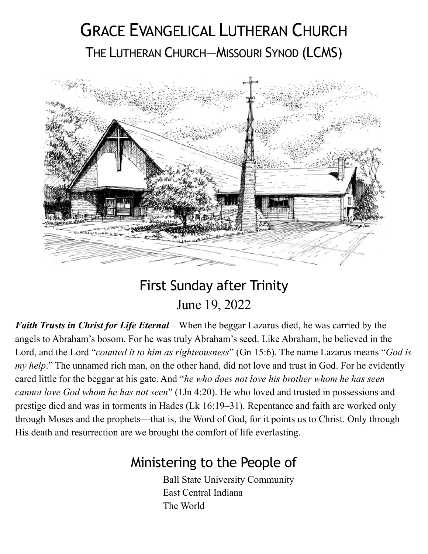# GRACE EVANGELICAL LUTHERAN CHURCH THE LUTHERAN CHURCH—MISSOURI SYNOD (LCMS)



# First Sunday after Trinity June 19, 2022

*Faith Trusts in Christ for Life Eternal* – When the beggar Lazarus died, he was carried by the angels to Abraham's bosom. For he was truly Abraham's seed. Like Abraham, he believed in the Lord, and the Lord "*counted it to him as righteousness*" (Gn 15:6). The name Lazarus means "*God is my help*." The unnamed rich man, on the other hand, did not love and trust in God. For he evidently cared little for the beggar at his gate. And "*he who does not love his brother whom he has seen cannot love God whom he has not seen*" (1Jn 4:20). He who loved and trusted in possessions and prestige died and was in torments in Hades (Lk 16:19–31). Repentance and faith are worked only through Moses and the prophets—that is, the Word of God, for it points us to Christ. Only through His death and resurrection are we brought the comfort of life everlasting.

# Ministering to the People of

Ball State University Community East Central Indiana The World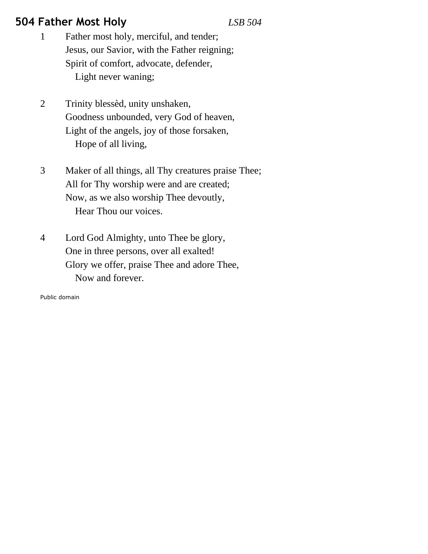#### **504 Father Most Holy** *LSB 504*

- 1 Father most holy, merciful, and tender; Jesus, our Savior, with the Father reigning; Spirit of comfort, advocate, defender, Light never waning;
- 2 Trinity blessèd, unity unshaken, Goodness unbounded, very God of heaven, Light of the angels, joy of those forsaken, Hope of all living,
- 3 Maker of all things, all Thy creatures praise Thee; All for Thy worship were and are created; Now, as we also worship Thee devoutly, Hear Thou our voices.
- 4 Lord God Almighty, unto Thee be glory, One in three persons, over all exalted! Glory we offer, praise Thee and adore Thee, Now and forever.

Public domain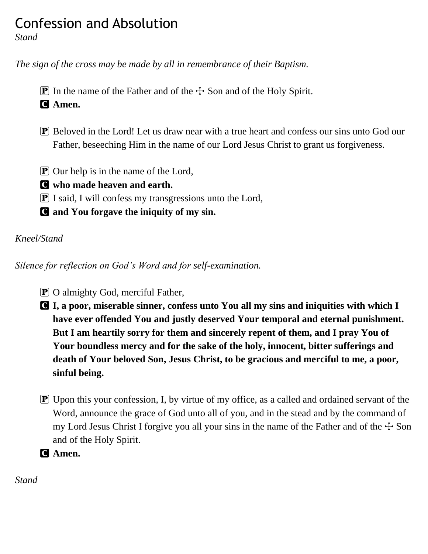# Confession and Absolution

*Stand*

*The sign of the cross may be made by all in remembrance of their Baptism.*

**P** In the name of the Father and of the  $\div$  Son and of the Holy Spirit. C **Amen.**

 $\mathbf{P}$  Beloved in the Lord! Let us draw near with a true heart and confess our sins unto God our Father, beseeching Him in the name of our Lord Jesus Christ to grant us forgiveness.

P Our help is in the name of the Lord,

C **who made heaven and earth.**

P I said, I will confess my transgressions unto the Lord,

C **and You forgave the iniquity of my sin.**

*Kneel/Stand*

*Silence for reflection on God's Word and for self-examination.*

 $\bf{P}$  O almighty God, merciful Father,

C **I, a poor, miserable sinner, confess unto You all my sins and iniquities with which I have ever offended You and justly deserved Your temporal and eternal punishment. But I am heartily sorry for them and sincerely repent of them, and I pray You of Your boundless mercy and for the sake of the holy, innocent, bitter sufferings and death of Your beloved Son, Jesus Christ, to be gracious and merciful to me, a poor, sinful being.**

 $\mathbf P$  Upon this your confession, I, by virtue of my office, as a called and ordained servant of the Word, announce the grace of God unto all of you, and in the stead and by the command of my Lord Jesus Christ I forgive you all your sins in the name of the Father and of the  $\pm$  Son and of the Holy Spirit.

C **Amen.**

*Stand*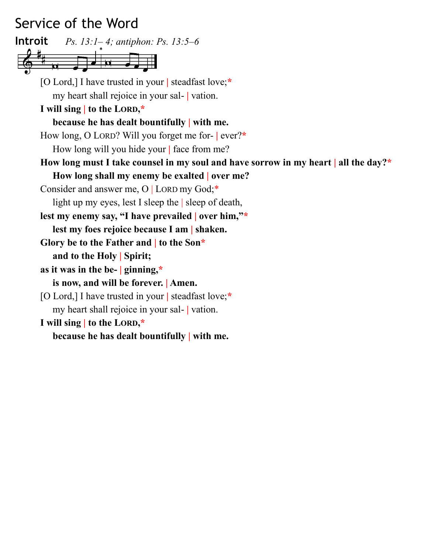Service of the Word

**Introit** *Ps. 13:1– 4; antiphon: Ps. 13:5–6* [O Lord,] I have trusted in your **|** steadfast love;**\*** my heart shall rejoice in your sal- **|** vation. **I will sing | to the LORD, \* because he has dealt bountifully | with me.** How long, O LORD? Will you forget me for- **|** ever?**\*** How long will you hide your **|** face from me? **How long must I take counsel in my soul and have sorrow in my heart | all the day?\* How long shall my enemy be exalted | over me?** Consider and answer me, O | LORD my God;\* light up my eyes, lest I sleep the | sleep of death, **lest my enemy say, "I have prevailed | over him,"\* lest my foes rejoice because I am | shaken. Glory be to the Father and | to the Son\* and to the Holy | Spirit; as it was in the be- | ginning,\* is now, and will be forever. | Amen.** [O Lord,] I have trusted in your **|** steadfast love;**\*** my heart shall rejoice in your sal- **|** vation. **I will sing | to the LORD, \* because he has dealt bountifully | with me.**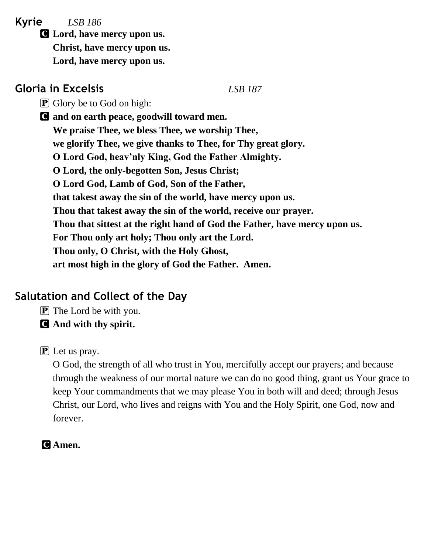**Kyrie** *LSB 186*

C **Lord, have mercy upon us. Christ, have mercy upon us. Lord, have mercy upon us.**

#### **Gloria in Excelsis** *LSB 187*

**P** Glory be to God on high:

C **and on earth peace, goodwill toward men. We praise Thee, we bless Thee, we worship Thee, we glorify Thee, we give thanks to Thee, for Thy great glory. O Lord God, heav'nly King, God the Father Almighty. O Lord, the only-begotten Son, Jesus Christ; O Lord God, Lamb of God, Son of the Father, that takest away the sin of the world, have mercy upon us. Thou that takest away the sin of the world, receive our prayer. Thou that sittest at the right hand of God the Father, have mercy upon us. For Thou only art holy; Thou only art the Lord. Thou only, O Christ, with the Holy Ghost, art most high in the glory of God the Father. Amen.**

#### **Salutation and Collect of the Day**

 $\bf{P}$  The Lord be with you.

C **And with thy spirit.**

**P** Let us pray.

O God, the strength of all who trust in You, mercifully accept our prayers; and because through the weakness of our mortal nature we can do no good thing, grant us Your grace to keep Your commandments that we may please You in both will and deed; through Jesus Christ, our Lord, who lives and reigns with You and the Holy Spirit, one God, now and forever.

#### C **Amen.**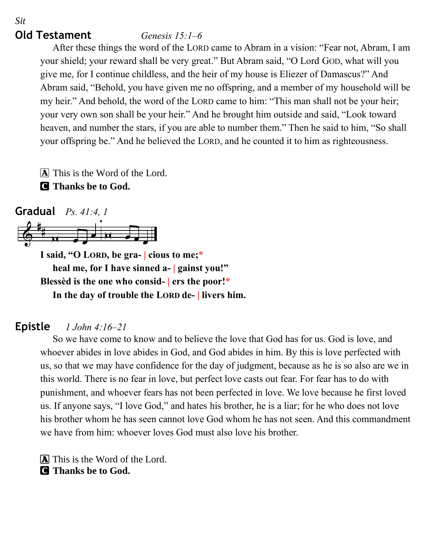#### **Old Testament** *Genesis 15:1–6*

After these things the word of the LORD came to Abram in a vision: "Fear not, Abram, I am your shield; your reward shall be very great." But Abram said, "O Lord GOD, what will you give me, for I continue childless, and the heir of my house is Eliezer of Damascus?" And Abram said, "Behold, you have given me no offspring, and a member of my household will be my heir." And behold, the word of the LORD came to him: "This man shall not be your heir; your very own son shall be your heir." And he brought him outside and said, "Look toward heaven, and number the stars, if you are able to number them." Then he said to him, "So shall your offspring be." And he believed the LORD, and he counted it to him as righteousness.

A This is the Word of the Lord.

#### C **Thanks be to God.**



**I said, "O LORD, be gra- | cious to me;\* heal me, for I have sinned a- | gainst you!" Blessèd is the one who consid- | ers the poor!\* In the day of trouble the LORD de- | livers him.**

#### **Epistle** *1 John 4:16–21*

So we have come to know and to believe the love that God has for us. God is love, and whoever abides in love abides in God, and God abides in him. By this is love perfected with us, so that we may have confidence for the day of judgment, because as he is so also are we in this world. There is no fear in love, but perfect love casts out fear. For fear has to do with punishment, and whoever fears has not been perfected in love. We love because he first loved us. If anyone says, "I love God," and hates his brother, he is a liar; for he who does not love his brother whom he has seen cannot love God whom he has not seen. And this commandment we have from him: whoever loves God must also love his brother.

A This is the Word of the Lord. C **Thanks be to God.**

# *Sit*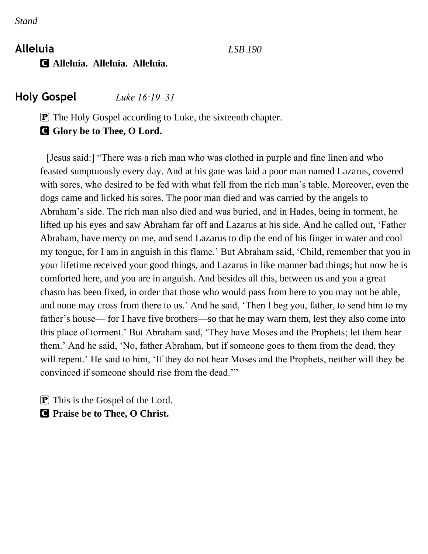*Stand*

#### **Alleluia** *LSB 190*

#### C **Alleluia. Alleluia. Alleluia.**

#### **Holy Gospel** *Luke 16:19–31*

P The Holy Gospel according to Luke, the sixteenth chapter. C **Glory be to Thee, O Lord.**

[Jesus said:] "There was a rich man who was clothed in purple and fine linen and who feasted sumptuously every day. And at his gate was laid a poor man named Lazarus, covered with sores, who desired to be fed with what fell from the rich man's table. Moreover, even the dogs came and licked his sores. The poor man died and was carried by the angels to Abraham's side. The rich man also died and was buried, and in Hades, being in torment, he lifted up his eyes and saw Abraham far off and Lazarus at his side. And he called out, 'Father Abraham, have mercy on me, and send Lazarus to dip the end of his finger in water and cool my tongue, for I am in anguish in this flame.' But Abraham said, 'Child, remember that you in your lifetime received your good things, and Lazarus in like manner bad things; but now he is comforted here, and you are in anguish. And besides all this, between us and you a great chasm has been fixed, in order that those who would pass from here to you may not be able, and none may cross from there to us.' And he said, 'Then I beg you, father, to send him to my father's house— for I have five brothers—so that he may warn them, lest they also come into this place of torment.' But Abraham said, 'They have Moses and the Prophets; let them hear them.' And he said, 'No, father Abraham, but if someone goes to them from the dead, they will repent.' He said to him, 'If they do not hear Moses and the Prophets, neither will they be convinced if someone should rise from the dead.'"

P This is the Gospel of the Lord. C **Praise be to Thee, O Christ.**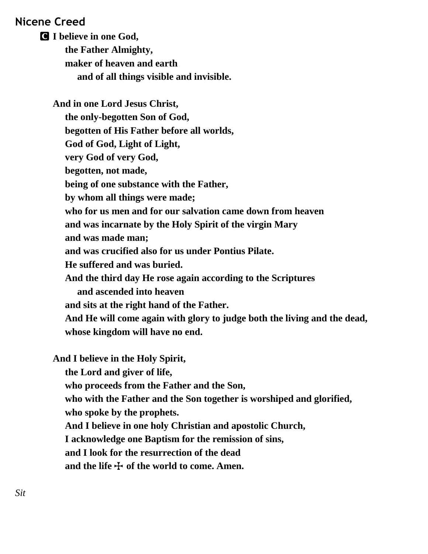#### **Nicene Creed**

C **I believe in one God,**

 **the Father Almighty, maker of heaven and earth and of all things visible and invisible.**

**And in one Lord Jesus Christ, the only-begotten Son of God, begotten of His Father before all worlds, God of God, Light of Light, very God of very God, begotten, not made, being of one substance with the Father, by whom all things were made; who for us men and for our salvation came down from heaven and was incarnate by the Holy Spirit of the virgin Mary and was made man; and was crucified also for us under Pontius Pilate. He suffered and was buried. And the third day He rose again according to the Scriptures and ascended into heaven and sits at the right hand of the Father. And He will come again with glory to judge both the living and the dead, whose kingdom will have no end.**

**And I believe in the Holy Spirit,**

 **the Lord and giver of life,**

 **who proceeds from the Father and the Son,**

 **who with the Father and the Son together is worshiped and glorified,**

 **who spoke by the prophets.**

 **And I believe in one holy Christian and apostolic Church,**

 **I acknowledge one Baptism for the remission of sins,**

 **and I look for the resurrection of the dead**

and the life  $\ddagger$  of the world to come. Amen.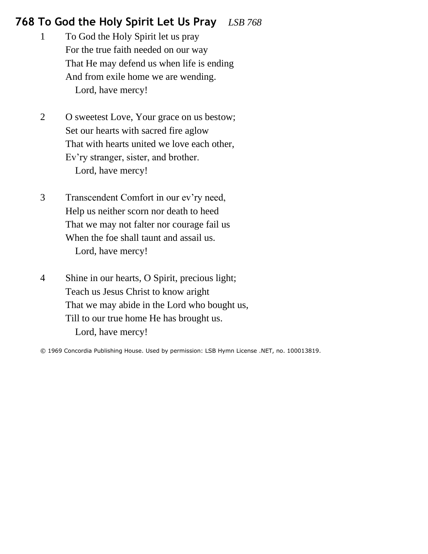#### **768 To God the Holy Spirit Let Us Pray** *LSB 768*

- 1 To God the Holy Spirit let us pray For the true faith needed on our way That He may defend us when life is ending And from exile home we are wending. Lord, have mercy!
- 2 O sweetest Love, Your grace on us bestow; Set our hearts with sacred fire aglow That with hearts united we love each other, Ev'ry stranger, sister, and brother. Lord, have mercy!
- 3 Transcendent Comfort in our ev'ry need, Help us neither scorn nor death to heed That we may not falter nor courage fail us When the foe shall taunt and assail us. Lord, have mercy!
- 4 Shine in our hearts, O Spirit, precious light; Teach us Jesus Christ to know aright That we may abide in the Lord who bought us, Till to our true home He has brought us. Lord, have mercy!

© 1969 Concordia Publishing House. Used by permission: LSB Hymn License .NET, no. 100013819.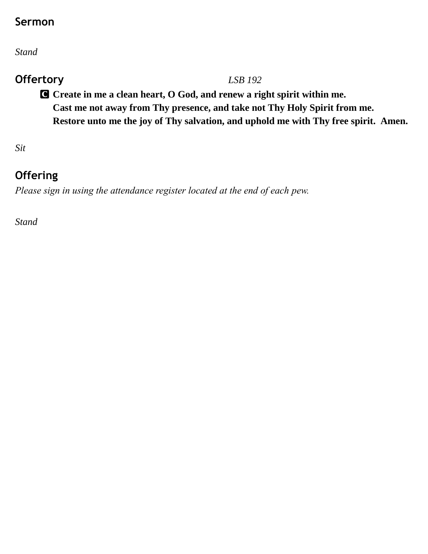#### **Sermon**

*Stand*

#### **Offertory** *LSB 192*

C **Create in me a clean heart, O God, and renew a right spirit within me. Cast me not away from Thy presence, and take not Thy Holy Spirit from me. Restore unto me the joy of Thy salvation, and uphold me with Thy free spirit. Amen.**

*Sit*

# **Offering**

*Please sign in using the attendance register located at the end of each pew.* 

*Stand*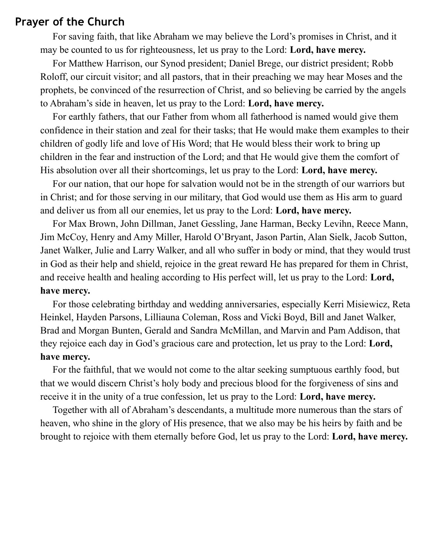#### **Prayer of the Church**

For saving faith, that like Abraham we may believe the Lord's promises in Christ, and it may be counted to us for righteousness, let us pray to the Lord: **Lord, have mercy.**

For Matthew Harrison, our Synod president; Daniel Brege, our district president; Robb Roloff, our circuit visitor; and all pastors, that in their preaching we may hear Moses and the prophets, be convinced of the resurrection of Christ, and so believing be carried by the angels to Abraham's side in heaven, let us pray to the Lord: **Lord, have mercy.**

For earthly fathers, that our Father from whom all fatherhood is named would give them confidence in their station and zeal for their tasks; that He would make them examples to their children of godly life and love of His Word; that He would bless their work to bring up children in the fear and instruction of the Lord; and that He would give them the comfort of His absolution over all their shortcomings, let us pray to the Lord: **Lord, have mercy.**

For our nation, that our hope for salvation would not be in the strength of our warriors but in Christ; and for those serving in our military, that God would use them as His arm to guard and deliver us from all our enemies, let us pray to the Lord: **Lord, have mercy.**

For Max Brown, John Dillman, Janet Gessling, Jane Harman, Becky Levihn, Reece Mann, Jim McCoy, Henry and Amy Miller, Harold O'Bryant, Jason Partin, Alan Sielk, Jacob Sutton, Janet Walker, Julie and Larry Walker, and all who suffer in body or mind, that they would trust in God as their help and shield, rejoice in the great reward He has prepared for them in Christ, and receive health and healing according to His perfect will, let us pray to the Lord: **Lord, have mercy.**

For those celebrating birthday and wedding anniversaries, especially Kerri Misiewicz, Reta Heinkel, Hayden Parsons, Lilliauna Coleman, Ross and Vicki Boyd, Bill and Janet Walker, Brad and Morgan Bunten, Gerald and Sandra McMillan, and Marvin and Pam Addison, that they rejoice each day in God's gracious care and protection, let us pray to the Lord: **Lord, have mercy.**

For the faithful, that we would not come to the altar seeking sumptuous earthly food, but that we would discern Christ's holy body and precious blood for the forgiveness of sins and receive it in the unity of a true confession, let us pray to the Lord: **Lord, have mercy.**

Together with all of Abraham's descendants, a multitude more numerous than the stars of heaven, who shine in the glory of His presence, that we also may be his heirs by faith and be brought to rejoice with them eternally before God, let us pray to the Lord: **Lord, have mercy.**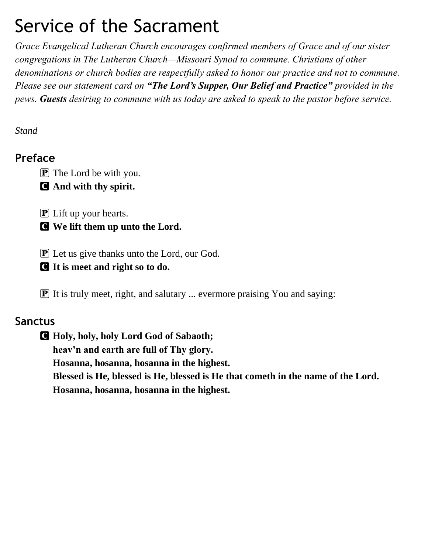# Service of the Sacrament

*Grace Evangelical Lutheran Church encourages confirmed members of Grace and of our sister congregations in The Lutheran Church—Missouri Synod to commune. Christians of other denominations or church bodies are respectfully asked to honor our practice and not to commune. Please see our statement card on "The Lord's Supper, Our Belief and Practice" provided in the pews. Guests desiring to commune with us today are asked to speak to the pastor before service.*

*Stand*

## **Preface**

 $\bf{P}$  The Lord be with you.

C **And with thy spirit.**

 $\boxed{\mathbf{P}}$  Lift up your hearts.

C **We lift them up unto the Lord.**

**P** Let us give thanks unto the Lord, our God.

C **It is meet and right so to do.**

P It is truly meet, right, and salutary ... evermore praising You and saying:

# **Sanctus**

C **Holy, holy, holy Lord God of Sabaoth; heav'n and earth are full of Thy glory. Hosanna, hosanna, hosanna in the highest. Blessed is He, blessed is He, blessed is He that cometh in the name of the Lord. Hosanna, hosanna, hosanna in the highest.**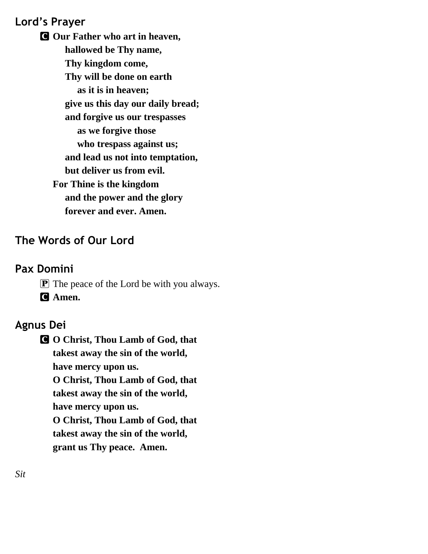#### **Lord's Prayer**

C **Our Father who art in heaven, hallowed be Thy name, Thy kingdom come, Thy will be done on earth as it is in heaven; give us this day our daily bread; and forgive us our trespasses as we forgive those who trespass against us; and lead us not into temptation, but deliver us from evil. For Thine is the kingdom and the power and the glory forever and ever. Amen.**

#### **The Words of Our Lord**

#### **Pax Domini**

 $\boxed{\mathbf{P}}$  The peace of the Lord be with you always.

C **Amen.**

#### **Agnus Dei**

C **O Christ, Thou Lamb of God, that takest away the sin of the world, have mercy upon us. O Christ, Thou Lamb of God, that takest away the sin of the world, have mercy upon us. O Christ, Thou Lamb of God, that takest away the sin of the world, grant us Thy peace. Amen.**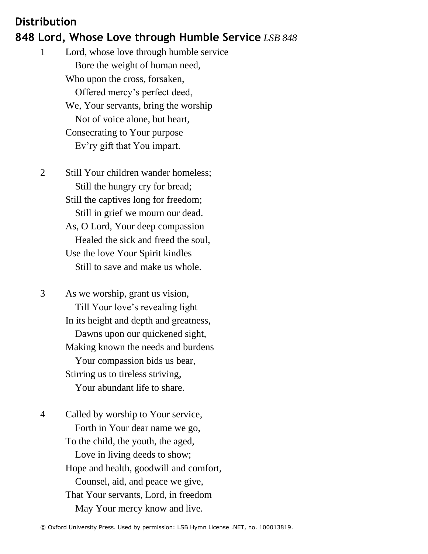#### **Distribution 848 Lord, Whose Love through Humble Service** *LSB 848*

1 Lord, whose love through humble service Bore the weight of human need, Who upon the cross, forsaken, Offered mercy's perfect deed, We, Your servants, bring the worship Not of voice alone, but heart, Consecrating to Your purpose Ev'ry gift that You impart.

2 Still Your children wander homeless; Still the hungry cry for bread; Still the captives long for freedom; Still in grief we mourn our dead. As, O Lord, Your deep compassion Healed the sick and freed the soul, Use the love Your Spirit kindles Still to save and make us whole.

3 As we worship, grant us vision, Till Your love's revealing light In its height and depth and greatness, Dawns upon our quickened sight, Making known the needs and burdens Your compassion bids us bear, Stirring us to tireless striving, Your abundant life to share.

4 Called by worship to Your service, Forth in Your dear name we go, To the child, the youth, the aged, Love in living deeds to show; Hope and health, goodwill and comfort, Counsel, aid, and peace we give, That Your servants, Lord, in freedom May Your mercy know and live.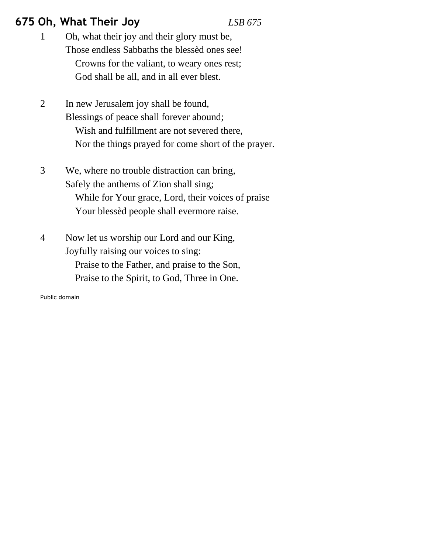#### **675 Oh, What Their Joy** *LSB 675*

- 1 Oh, what their joy and their glory must be, Those endless Sabbaths the blessèd ones see! Crowns for the valiant, to weary ones rest; God shall be all, and in all ever blest.
- 2 In new Jerusalem joy shall be found, Blessings of peace shall forever abound; Wish and fulfillment are not severed there, Nor the things prayed for come short of the prayer.
- 3 We, where no trouble distraction can bring, Safely the anthems of Zion shall sing; While for Your grace, Lord, their voices of praise Your blessèd people shall evermore raise.
- 4 Now let us worship our Lord and our King, Joyfully raising our voices to sing: Praise to the Father, and praise to the Son, Praise to the Spirit, to God, Three in One.

Public domain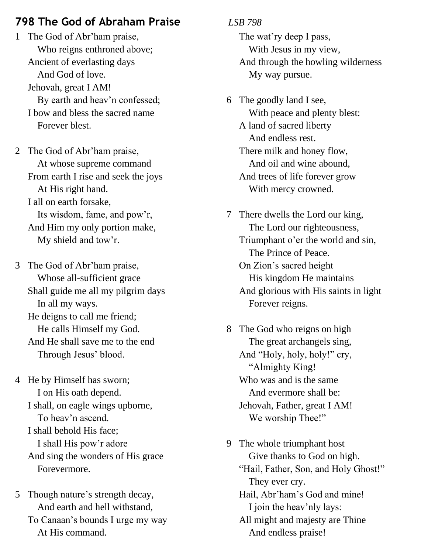#### **798 The God of Abraham Praise** *LSB 798*

1 The God of Abr'ham praise, Who reigns enthroned above; Ancient of everlasting days And God of love. Jehovah, great I AM! By earth and heav'n confessed; I bow and bless the sacred name Forever blest.

2 The God of Abr'ham praise, At whose supreme command From earth I rise and seek the joys At His right hand. I all on earth forsake, Its wisdom, fame, and pow'r, And Him my only portion make, My shield and tow'r.

3 The God of Abr'ham praise, Whose all-sufficient grace Shall guide me all my pilgrim days In all my ways. He deigns to call me friend; He calls Himself my God. And He shall save me to the end Through Jesus' blood.

4 He by Himself has sworn; I on His oath depend. I shall, on eagle wings upborne, To heav'n ascend. I shall behold His face; I shall His pow'r adore And sing the wonders of His grace Forevermore.

5 Though nature's strength decay, And earth and hell withstand, To Canaan's bounds I urge my way At His command.

The wat'ry deep I pass, With Jesus in my view, And through the howling wilderness My way pursue.

6 The goodly land I see, With peace and plenty blest: A land of sacred liberty And endless rest. There milk and honey flow, And oil and wine abound, And trees of life forever grow With mercy crowned.

7 There dwells the Lord our king, The Lord our righteousness, Triumphant o'er the world and sin, The Prince of Peace. On Zion's sacred height His kingdom He maintains And glorious with His saints in light Forever reigns.

8 The God who reigns on high The great archangels sing, And "Holy, holy, holy!" cry, "Almighty King! Who was and is the same And evermore shall be: Jehovah, Father, great I AM! We worship Thee!"

9 The whole triumphant host Give thanks to God on high. "Hail, Father, Son, and Holy Ghost!" They ever cry. Hail, Abr'ham's God and mine! I join the heav'nly lays: All might and majesty are Thine And endless praise!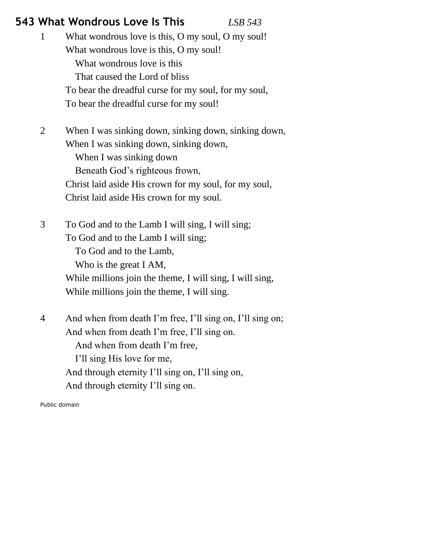#### **543 What Wondrous Love Is This** *LSB 543*

1 What wondrous love is this, O my soul, O my soul! What wondrous love is this, O my soul! What wondrous love is this That caused the Lord of bliss To bear the dreadful curse for my soul, for my soul, To bear the dreadful curse for my soul!

2 When I was sinking down, sinking down, sinking down, When I was sinking down, sinking down, When I was sinking down Beneath God's righteous frown, Christ laid aside His crown for my soul, for my soul, Christ laid aside His crown for my soul.

3 To God and to the Lamb I will sing, I will sing; To God and to the Lamb I will sing; To God and to the Lamb, Who is the great I AM, While millions join the theme, I will sing, I will sing, While millions join the theme, I will sing.

4 And when from death I'm free, I'll sing on, I'll sing on; And when from death I'm free, I'll sing on. And when from death I'm free, I'll sing His love for me, And through eternity I'll sing on, I'll sing on, And through eternity I'll sing on.

Public domain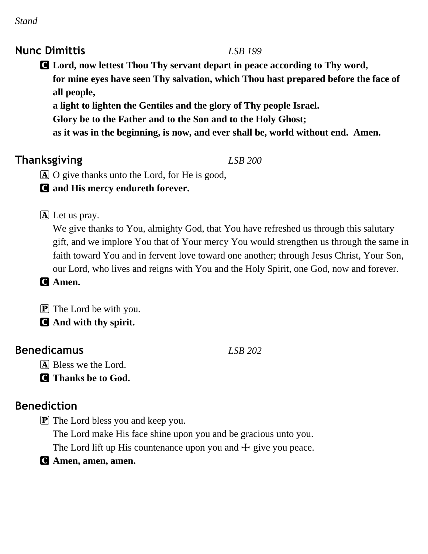*Stand*

#### **Nunc Dimittis** *LSB 199*

C **Lord, now lettest Thou Thy servant depart in peace according to Thy word, for mine eyes have seen Thy salvation, which Thou hast prepared before the face of** 

**all people,**

**a light to lighten the Gentiles and the glory of Thy people Israel.**

**Glory be to the Father and to the Son and to the Holy Ghost;**

**as it was in the beginning, is now, and ever shall be, world without end. Amen.**

#### **Thanksgiving** *LSB 200*

A O give thanks unto the Lord, for He is good,

C **and His mercy endureth forever.**

A Let us pray.

We give thanks to You, almighty God, that You have refreshed us through this salutary gift, and we implore You that of Your mercy You would strengthen us through the same in faith toward You and in fervent love toward one another; through Jesus Christ, Your Son, our Lord, who lives and reigns with You and the Holy Spirit, one God, now and forever.

C **Amen.**

 $\boxed{\mathbf{P}}$  The Lord be with you. C **And with thy spirit.**

#### **Benedicamus** *LSB 202*

A Bless we the Lord. C **Thanks be to God.**

#### **Benediction**

P The Lord bless you and keep you.

The Lord make His face shine upon you and be gracious unto you.

The Lord lift up His countenance upon you and  $\pm$  give you peace.

C **Amen, amen, amen.**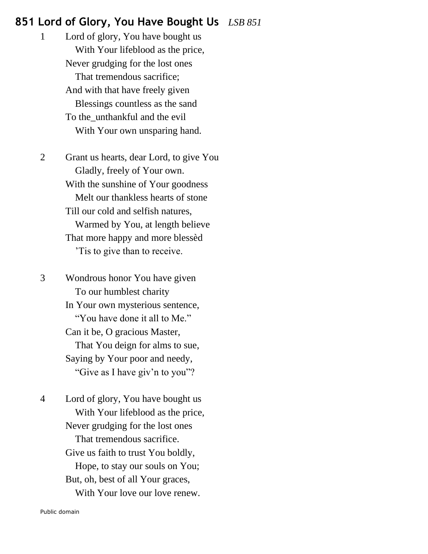#### **851 Lord of Glory, You Have Bought Us** *LSB 851*

1 Lord of glory, You have bought us With Your lifeblood as the price, Never grudging for the lost ones That tremendous sacrifice; And with that have freely given Blessings countless as the sand To the unthankful and the evil With Your own unsparing hand.

2 Grant us hearts, dear Lord, to give You Gladly, freely of Your own. With the sunshine of Your goodness Melt our thankless hearts of stone Till our cold and selfish natures, Warmed by You, at length believe That more happy and more blessèd 'Tis to give than to receive.

3 Wondrous honor You have given To our humblest charity In Your own mysterious sentence, "You have done it all to Me." Can it be, O gracious Master, That You deign for alms to sue, Saying by Your poor and needy, "Give as I have giv'n to you"?

4 Lord of glory, You have bought us With Your lifeblood as the price, Never grudging for the lost ones That tremendous sacrifice. Give us faith to trust You boldly, Hope, to stay our souls on You; But, oh, best of all Your graces, With Your love our love renew.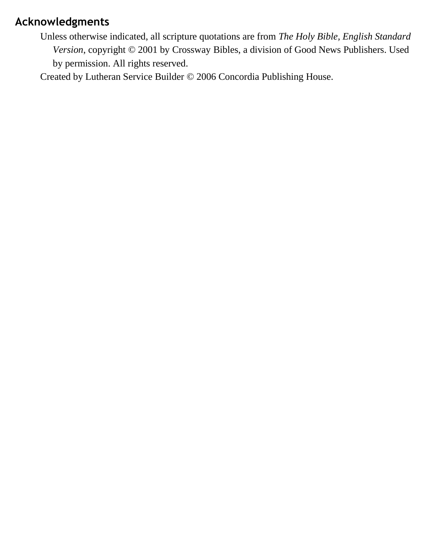### **Acknowledgments**

Unless otherwise indicated, all scripture quotations are from *The Holy Bible, English Standard Version*, copyright © 2001 by Crossway Bibles, a division of Good News Publishers. Used by permission. All rights reserved.

Created by Lutheran Service Builder © 2006 Concordia Publishing House.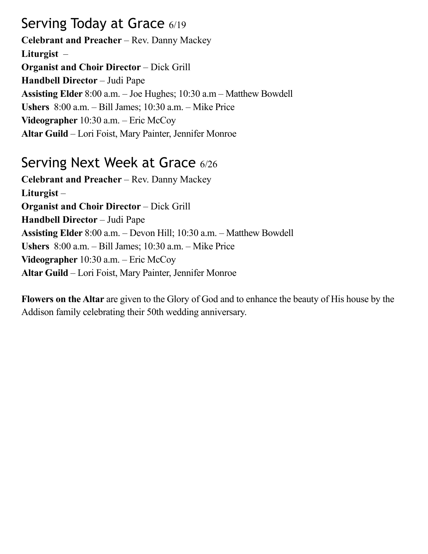# Serving Today at Grace 6/19

**Celebrant and Preacher** – Rev. Danny Mackey **Liturgist** – **Organist and Choir Director – Dick Grill Handbell Director** – Judi Pape **Assisting Elder** 8:00 a.m. – Joe Hughes; 10:30 a.m – Matthew Bowdell **Ushers** 8:00 a.m. – Bill James; 10:30 a.m. – Mike Price **Videographer** 10:30 a.m. – Eric McCoy **Altar Guild** – Lori Foist, Mary Painter, Jennifer Monroe

# Serving Next Week at Grace 6/26

**Celebrant and Preacher** – Rev. Danny Mackey **Liturgist** – **Organist and Choir Director – Dick Grill Handbell Director** – Judi Pape **Assisting Elder** 8:00 a.m. – Devon Hill; 10:30 a.m. – Matthew Bowdell **Ushers** 8:00 a.m. – Bill James; 10:30 a.m. – Mike Price **Videographer** 10:30 a.m. – Eric McCoy **Altar Guild** – Lori Foist, Mary Painter, Jennifer Monroe

**Flowers on the Altar** are given to the Glory of God and to enhance the beauty of His house by the Addison family celebrating their 50th wedding anniversary.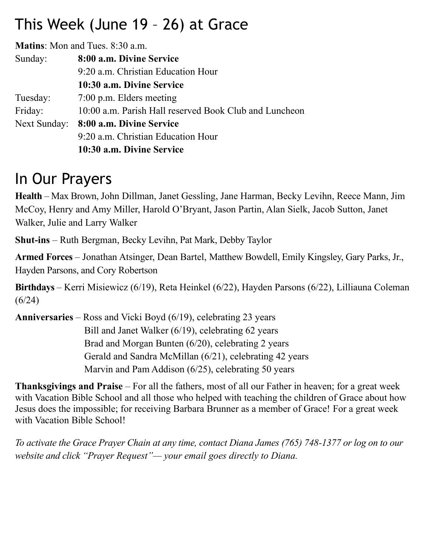# This Week (June 19 – 26) at Grace

**Matins**: Mon and Tues. 8:30 a.m.

| Sunday:  | 8:00 a.m. Divine Service                               |
|----------|--------------------------------------------------------|
|          | 9:20 a.m. Christian Education Hour                     |
|          | 10:30 a.m. Divine Service                              |
| Tuesday: | $7:00$ p.m. Elders meeting                             |
| Friday:  | 10:00 a.m. Parish Hall reserved Book Club and Luncheon |
|          | Next Sunday: 8:00 a.m. Divine Service                  |
|          | 9:20 a.m. Christian Education Hour                     |
|          | 10:30 a.m. Divine Service                              |

# In Our Prayers

**Health** – Max Brown, John Dillman, Janet Gessling, Jane Harman, Becky Levihn, Reece Mann, Jim McCoy, Henry and Amy Miller, Harold O'Bryant, Jason Partin, Alan Sielk, Jacob Sutton, Janet Walker, Julie and Larry Walker

**Shut-ins** – Ruth Bergman, Becky Levihn, Pat Mark, Debby Taylor

**Armed Forces** – Jonathan Atsinger, Dean Bartel, Matthew Bowdell, Emily Kingsley, Gary Parks, Jr., Hayden Parsons, and Cory Robertson

**Birthdays** – Kerri Misiewicz (6/19), Reta Heinkel (6/22), Hayden Parsons (6/22), Lilliauna Coleman  $(6/24)$ 

**Anniversaries** – Ross and Vicki Boyd (6/19), celebrating 23 years Bill and Janet Walker (6/19), celebrating 62 years Brad and Morgan Bunten (6/20), celebrating 2 years Gerald and Sandra McMillan (6/21), celebrating 42 years Marvin and Pam Addison (6/25), celebrating 50 years

**Thanksgivings and Praise** – For all the fathers, most of all our Father in heaven; for a great week with Vacation Bible School and all those who helped with teaching the children of Grace about how Jesus does the impossible; for receiving Barbara Brunner as a member of Grace! For a great week with Vacation Bible School!

*To activate the Grace Prayer Chain at any time, contact Diana James (765) 748-1377 or log on to our website and click "Prayer Request"— your email goes directly to Diana.*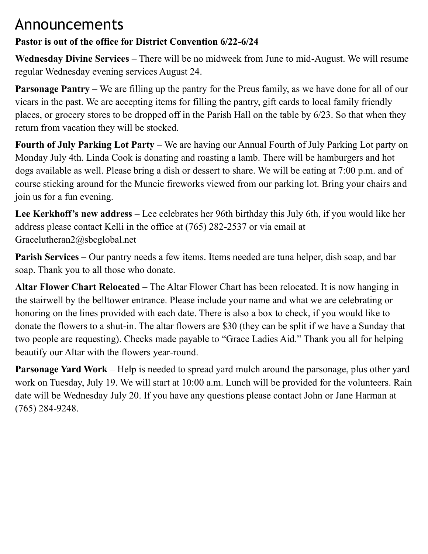# Announcements

#### **Pastor is out of the office for District Convention 6/22-6/24**

**Wednesday Divine Services** – There will be no midweek from June to mid-August. We will resume regular Wednesday evening services August 24.

**Parsonage Pantry** – We are filling up the pantry for the Preus family, as we have done for all of our vicars in the past. We are accepting items for filling the pantry, gift cards to local family friendly places, or grocery stores to be dropped off in the Parish Hall on the table by 6/23. So that when they return from vacation they will be stocked.

**Fourth of July Parking Lot Party** – We are having our Annual Fourth of July Parking Lot party on Monday July 4th. Linda Cook is donating and roasting a lamb. There will be hamburgers and hot dogs available as well. Please bring a dish or dessert to share. We will be eating at 7:00 p.m. and of course sticking around for the Muncie fireworks viewed from our parking lot. Bring your chairs and join us for a fun evening.

**Lee Kerkhoff's new address** – Lee celebrates her 96th birthday this July 6th, if you would like her address please contact Kelli in the office at (765) 282-2537 or via email at Gracelutheran2@sbcglobal.net

**Parish Services –** Our pantry needs a few items. Items needed are tuna helper, dish soap, and bar soap. Thank you to all those who donate.

**Altar Flower Chart Relocated** – The Altar Flower Chart has been relocated. It is now hanging in the stairwell by the belltower entrance. Please include your name and what we are celebrating or honoring on the lines provided with each date. There is also a box to check, if you would like to donate the flowers to a shut-in. The altar flowers are \$30 (they can be split if we have a Sunday that two people are requesting). Checks made payable to "Grace Ladies Aid." Thank you all for helping beautify our Altar with the flowers year-round.

**Parsonage Yard Work** – Help is needed to spread yard mulch around the parsonage, plus other yard work on Tuesday, July 19. We will start at 10:00 a.m. Lunch will be provided for the volunteers. Rain date will be Wednesday July 20. If you have any questions please contact John or Jane Harman at (765) 284-9248.